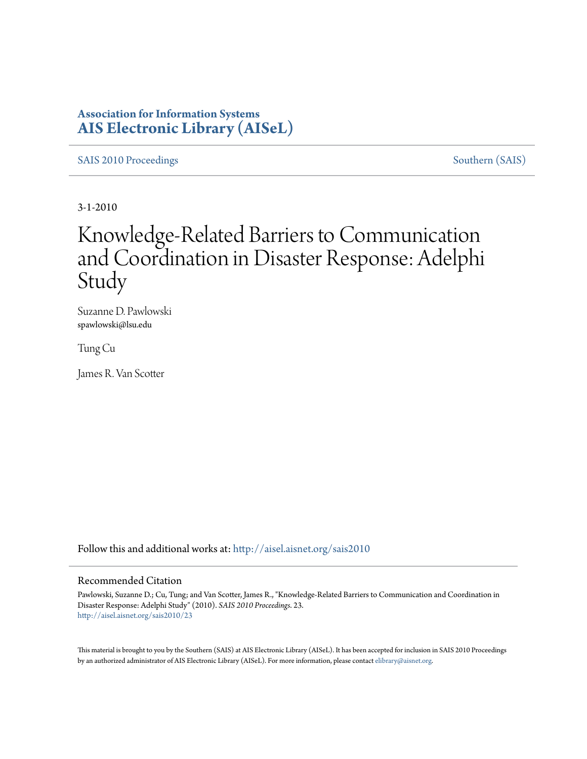### **Association for Information Systems [AIS Electronic Library \(AISeL\)](http://aisel.aisnet.org?utm_source=aisel.aisnet.org%2Fsais2010%2F23&utm_medium=PDF&utm_campaign=PDFCoverPages)**

[SAIS 2010 Proceedings](http://aisel.aisnet.org/sais2010?utm_source=aisel.aisnet.org%2Fsais2010%2F23&utm_medium=PDF&utm_campaign=PDFCoverPages) [Southern \(SAIS\)](http://aisel.aisnet.org/sais?utm_source=aisel.aisnet.org%2Fsais2010%2F23&utm_medium=PDF&utm_campaign=PDFCoverPages)

3-1-2010

# Knowledge-Related Barriers to Communication and Coordination in Disaster Response: Adelphi Study

Suzanne D. Pawlowski spawlowski@lsu.edu

Tung Cu

James R. Van Scotter

Follow this and additional works at: [http://aisel.aisnet.org/sais2010](http://aisel.aisnet.org/sais2010?utm_source=aisel.aisnet.org%2Fsais2010%2F23&utm_medium=PDF&utm_campaign=PDFCoverPages)

#### Recommended Citation

Pawlowski, Suzanne D.; Cu, Tung; and Van Scotter, James R., "Knowledge-Related Barriers to Communication and Coordination in Disaster Response: Adelphi Study" (2010). *SAIS 2010 Proceedings*. 23. [http://aisel.aisnet.org/sais2010/23](http://aisel.aisnet.org/sais2010/23?utm_source=aisel.aisnet.org%2Fsais2010%2F23&utm_medium=PDF&utm_campaign=PDFCoverPages)

This material is brought to you by the Southern (SAIS) at AIS Electronic Library (AISeL). It has been accepted for inclusion in SAIS 2010 Proceedings by an authorized administrator of AIS Electronic Library (AISeL). For more information, please contact [elibrary@aisnet.org](mailto:elibrary@aisnet.org%3E).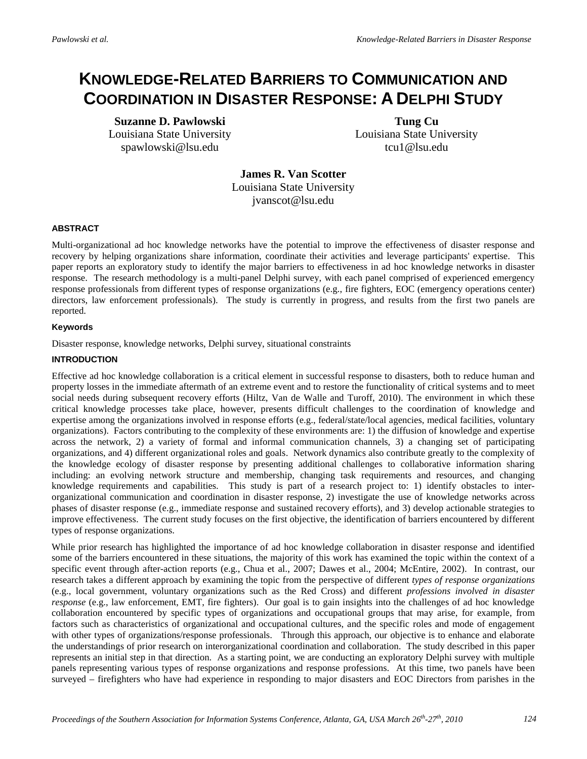## **KNOWLEDGE-RELATED BARRIERS TO COMMUNICATION AND COORDINATION IN DISASTER RESPONSE: A DELPHI STUDY**

**Suzanne D. Pawlowski** Louisiana State University spawlowski@lsu.edu

**Tung Cu** Louisiana State University tcu1@lsu.edu

**James R. Van Scotter**  Louisiana State University jvanscot@lsu.edu

#### **ABSTRACT**

Multi-organizational ad hoc knowledge networks have the potential to improve the effectiveness of disaster response and recovery by helping organizations share information, coordinate their activities and leverage participants' expertise. This paper reports an exploratory study to identify the major barriers to effectiveness in ad hoc knowledge networks in disaster response. The research methodology is a multi-panel Delphi survey, with each panel comprised of experienced emergency response professionals from different types of response organizations (e.g., fire fighters, EOC (emergency operations center) directors, law enforcement professionals). The study is currently in progress, and results from the first two panels are reported.

#### **Keywords**

Disaster response, knowledge networks, Delphi survey, situational constraints

#### **INTRODUCTION**

Effective ad hoc knowledge collaboration is a critical element in successful response to disasters, both to reduce human and property losses in the immediate aftermath of an extreme event and to restore the functionality of critical systems and to meet social needs during subsequent recovery efforts (Hiltz, Van de Walle and Turoff, 2010). The environment in which these critical knowledge processes take place, however, presents difficult challenges to the coordination of knowledge and expertise among the organizations involved in response efforts (e.g., federal/state/local agencies, medical facilities, voluntary organizations). Factors contributing to the complexity of these environments are: 1) the diffusion of knowledge and expertise across the network, 2) a variety of formal and informal communication channels, 3) a changing set of participating organizations, and 4) different organizational roles and goals. Network dynamics also contribute greatly to the complexity of the knowledge ecology of disaster response by presenting additional challenges to collaborative information sharing including: an evolving network structure and membership, changing task requirements and resources, and changing knowledge requirements and capabilities. This study is part of a research project to: 1) identify obstacles to interorganizational communication and coordination in disaster response, 2) investigate the use of knowledge networks across phases of disaster response (e.g., immediate response and sustained recovery efforts), and 3) develop actionable strategies to improve effectiveness. The current study focuses on the first objective, the identification of barriers encountered by different types of response organizations.

While prior research has highlighted the importance of ad hoc knowledge collaboration in disaster response and identified some of the barriers encountered in these situations, the majority of this work has examined the topic within the context of a specific event through after-action reports (e.g., Chua et al., 2007; Dawes et al., 2004; McEntire, 2002). In contrast, our research takes a different approach by examining the topic from the perspective of different *types of response organizations* (e.g., local government, voluntary organizations such as the Red Cross) and different *professions involved in disaster response* (e.g., law enforcement, EMT, fire fighters). Our goal is to gain insights into the challenges of ad hoc knowledge collaboration encountered by specific types of organizations and occupational groups that may arise, for example, from factors such as characteristics of organizational and occupational cultures, and the specific roles and mode of engagement with other types of organizations/response professionals. Through this approach, our objective is to enhance and elaborate the understandings of prior research on interorganizational coordination and collaboration. The study described in this paper represents an initial step in that direction. As a starting point, we are conducting an exploratory Delphi survey with multiple panels representing various types of response organizations and response professions. At this time, two panels have been surveyed – firefighters who have had experience in responding to major disasters and EOC Directors from parishes in the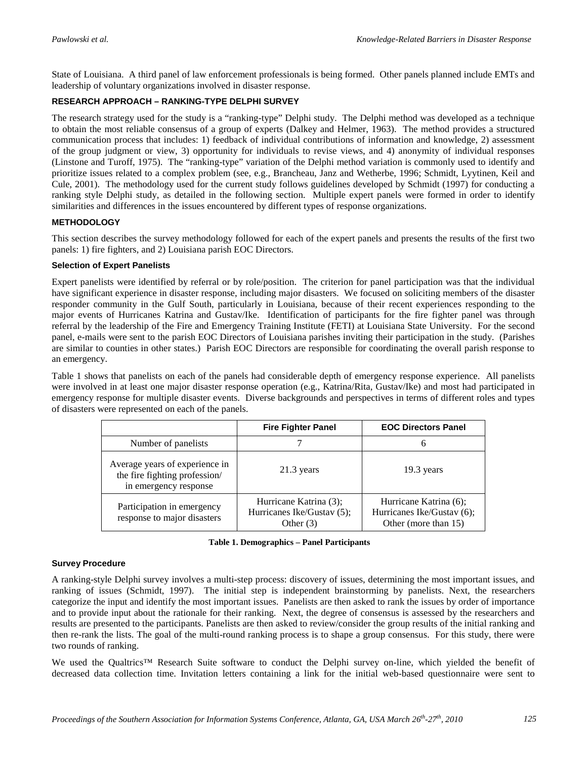State of Louisiana. A third panel of law enforcement professionals is being formed. Other panels planned include EMTs and leadership of voluntary organizations involved in disaster response.

#### **RESEARCH APPROACH – RANKING-TYPE DELPHI SURVEY**

The research strategy used for the study is a "ranking-type" Delphi study. The Delphi method was developed as a technique to obtain the most reliable consensus of a group of experts (Dalkey and Helmer, 1963). The method provides a structured communication process that includes: 1) feedback of individual contributions of information and knowledge, 2) assessment of the group judgment or view, 3) opportunity for individuals to revise views, and 4) anonymity of individual responses (Linstone and Turoff, 1975). The "ranking-type" variation of the Delphi method variation is commonly used to identify and prioritize issues related to a complex problem (see, e.g., Brancheau, Janz and Wetherbe, 1996; Schmidt, Lyytinen, Keil and Cule, 2001). The methodology used for the current study follows guidelines developed by Schmidt (1997) for conducting a ranking style Delphi study, as detailed in the following section. Multiple expert panels were formed in order to identify similarities and differences in the issues encountered by different types of response organizations.

#### **METHODOLOGY**

This section describes the survey methodology followed for each of the expert panels and presents the results of the first two panels: 1) fire fighters, and 2) Louisiana parish EOC Directors.

#### **Selection of Expert Panelists**

Expert panelists were identified by referral or by role/position. The criterion for panel participation was that the individual have significant experience in disaster response, including major disasters. We focused on soliciting members of the disaster responder community in the Gulf South, particularly in Louisiana, because of their recent experiences responding to the major events of Hurricanes Katrina and Gustav/Ike. Identification of participants for the fire fighter panel was through referral by the leadership of the Fire and Emergency Training Institute (FETI) at Louisiana State University. For the second panel, e-mails were sent to the parish EOC Directors of Louisiana parishes inviting their participation in the study. (Parishes are similar to counties in other states.) Parish EOC Directors are responsible for coordinating the overall parish response to an emergency.

Table 1 shows that panelists on each of the panels had considerable depth of emergency response experience. All panelists were involved in at least one major disaster response operation (e.g., Katrina/Rita, Gustav/Ike) and most had participated in emergency response for multiple disaster events. Diverse backgrounds and perspectives in terms of different roles and types of disasters were represented on each of the panels.

|                                                                                          | <b>Fire Fighter Panel</b>                                           | <b>EOC Directors Panel</b>                                                   |
|------------------------------------------------------------------------------------------|---------------------------------------------------------------------|------------------------------------------------------------------------------|
| Number of panelists                                                                      |                                                                     |                                                                              |
| Average years of experience in<br>the fire fighting profession/<br>in emergency response | $21.3$ years                                                        | $19.3$ years                                                                 |
| Participation in emergency<br>response to major disasters                                | Hurricane Katrina (3);<br>Hurricanes Ike/Gustav (5);<br>Other $(3)$ | Hurricane Katrina (6);<br>Hurricanes Ike/Gustav (6);<br>Other (more than 15) |

|  | Table 1. Demographics – Panel Participants |  |  |
|--|--------------------------------------------|--|--|
|--|--------------------------------------------|--|--|

#### **Survey Procedure**

A ranking-style Delphi survey involves a multi-step process: discovery of issues, determining the most important issues, and ranking of issues (Schmidt, 1997). The initial step is independent brainstorming by panelists. Next, the researchers categorize the input and identify the most important issues. Panelists are then asked to rank the issues by order of importance and to provide input about the rationale for their ranking. Next, the degree of consensus is assessed by the researchers and results are presented to the participants. Panelists are then asked to review/consider the group results of the initial ranking and then re-rank the lists. The goal of the multi-round ranking process is to shape a group consensus. For this study, there were two rounds of ranking.

We used the Qualtrics™ Research Suite software to conduct the Delphi survey on-line, which yielded the benefit of decreased data collection time. Invitation letters containing a link for the initial web-based questionnaire were sent to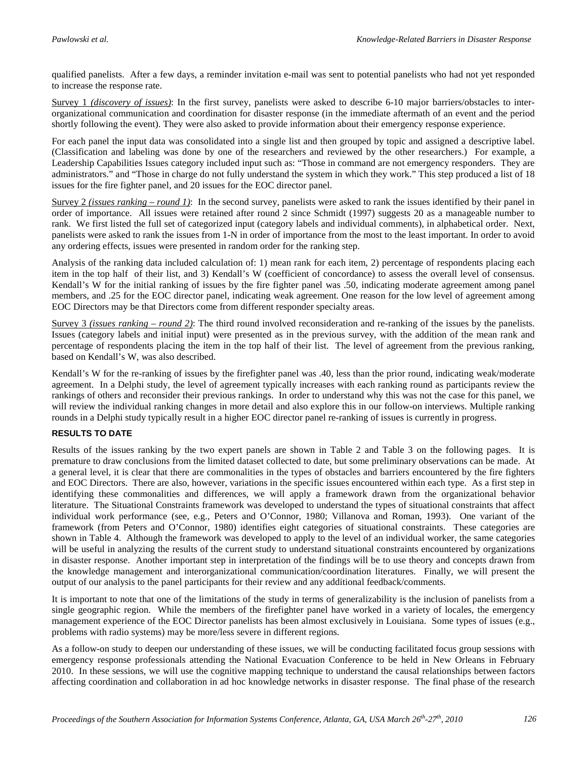qualified panelists. After a few days, a reminder invitation e-mail was sent to potential panelists who had not yet responded to increase the response rate.

Survey 1 *(discovery of issues)* : In the first survey, panelists were asked to describe 6-10 major barriers/obstacles to interorganizational communication and coordination for disaster response (in the immediate aftermath of an event and the period shortly following the event). They were also asked to provide information about their emergency response experience.

For each panel the input data was consolidated into a single list and then grouped by topic and assigned a descriptive label. (Classification and labeling was done by one of the researchers and reviewed by the other researchers.) For example, a Leadership Capabilities Issues category included input such as: "Those in command are not emergency responders. They are administrators." and "Those in charge do not fully understand the system in which they work." This step produced a list of 18 issues for the fire fighter panel, and 20 issues for the EOC director panel.

Survey 2 *(issues ranking – round 1)*: In the second survey, panelists were asked to rank the issues identified by their panel in order of importance. All issues were retained after round 2 since Schmidt (1997) suggests 20 as a manageable number to rank. We first listed the full set of categorized input (category labels and individual comments), in alphabetical order. Next, panelists were asked to rank the issues from 1-N in order of importance from the most to the least important. In order to avoid any ordering effects, issues were presented in random order for the ranking step.

Analysis of the ranking data included calculation of: 1) mean rank for each item, 2) percentage of respondents placing each item in the top half of their list, and 3) Kendall's W (coefficient of concordance) to assess the overall level of consensus. Kendall's W for the initial ranking of issues by the fire fighter panel was .50, indicating moderate agreement among panel members, and .25 for the EOC director panel, indicating weak agreement. One reason for the low level of agreement among EOC Directors may be that Directors come from different responder specialty areas.

Survey 3 *(issues ranking – round 2)* : The third round involved reconsideration and re-ranking of the issues by the panelists. Issues (category labels and initial input) were presented as in the previous survey, with the addition of the mean rank and percentage of respondents placing the item in the top half of their list. The level of agreement from the previous ranking, based on Kendall's W, was also described.

Kendall's W for the re-ranking of issues by the firefighter panel was .40, less than the prior round, indicating weak/moderate agreement. In a Delphi study, the level of agreement typically increases with each ranking round as participants review the rankings of others and reconsider their previous rankings. In order to understand why this was not the case for this panel, we will review the individual ranking changes in more detail and also explore this in our follow-on interviews. Multiple ranking rounds in a Delphi study typically result in a higher EOC director panel re-ranking of issues is currently in progress.

#### **RESULTS TO DATE**

Results of the issues ranking by the two expert panels are shown in Table 2 and Table 3 on the following pages. It is premature to draw conclusions from the limited dataset collected to date, but some preliminary observations can be made. At a general level, it is clear that there are commonalities in the types of obstacles and barriers encountered by the fire fighters and EOC Directors. There are also, however, variations in the specific issues encountered within each type. As a first step in identifying these commonalities and differences, we will apply a framework drawn from the organizational behavior literature. The Situational Constraints framework was developed to understand the types of situational constraints that affect individual work performance (see, e.g., Peters and O'Connor, 1980; Villanova and Roman, 1993). One variant of the framework (from Peters and O'Connor, 1980) identifies eight categories of situational constraints. These categories are shown in Table 4. Although the framework was developed to apply to the level of an individual worker, the same categories will be useful in analyzing the results of the current study to understand situational constraints encountered by organizations in disaster response. Another important step in interpretation of the findings will be to use theory and concepts drawn from the knowledge management and interorganizational communication/coordination literatures. Finally, we will present the output of our analysis to the panel participants for their review and any additional feedback/comments.

It is important to note that one of the limitations of the study in terms of generalizability is the inclusion of panelists from a single geographic region. While the members of the firefighter panel have worked in a variety of locales, the emergency management experience of the EOC Director panelists has been almost exclusively in Louisiana. Some types of issues (e.g., problems with radio systems) may be more/less severe in different regions.

As a follow-on study to deepen our understanding of these issues, we will be conducting facilitated focus group sessions with emergency response professionals attending the National Evacuation Conference to be held in New Orleans in February 2010. In these sessions, we will use the cognitive mapping technique to understand the causal relationships between factors affecting coordination and collaboration in ad hoc knowledge networks in disaster response. The final phase of the research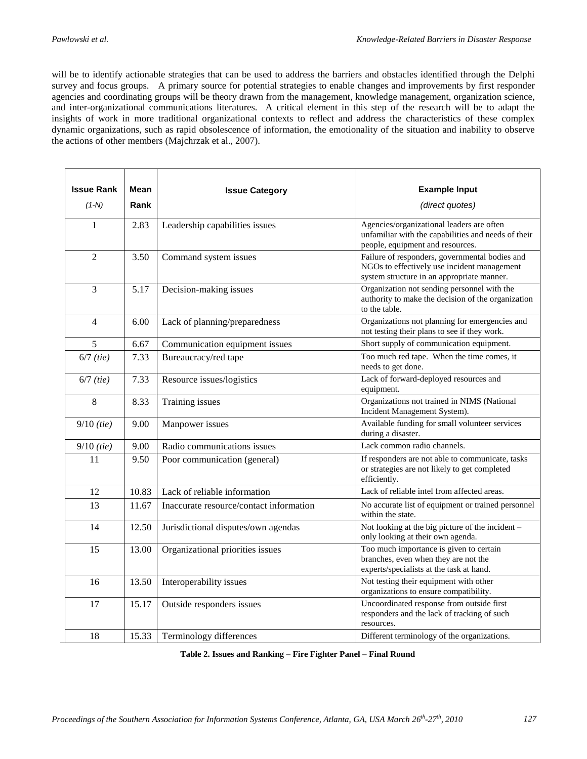will be to identify actionable strategies that can be used to address the barriers and obstacles identified through the Delphi survey and focus groups. A primary source for potential strategies to enable changes and improvements by first responder agencies and coordinating groups will be theory drawn from the management, knowledge management, organization science, and inter-organizational communications literatures. A critical element in this step of the research will be to adapt the insights of work in more traditional organizational contexts to reflect and address the characteristics of these complex dynamic organizations, such as rapid obsolescence of information, the emotionality of the situation and inability to observe the actions of other members (Majchrzak et al., 2007).

| <b>Issue Rank</b> | Mean  | <b>Issue Category</b>                   | <b>Example Input</b>                                                                                                                        |
|-------------------|-------|-----------------------------------------|---------------------------------------------------------------------------------------------------------------------------------------------|
| $(1-N)$           | Rank  |                                         | (direct quotes)                                                                                                                             |
| 1                 | 2.83  | Leadership capabilities issues          | Agencies/organizational leaders are often<br>unfamiliar with the capabilities and needs of their<br>people, equipment and resources.        |
| 2                 | 3.50  | Command system issues                   | Failure of responders, governmental bodies and<br>NGOs to effectively use incident management<br>system structure in an appropriate manner. |
| 3                 | 5.17  | Decision-making issues                  | Organization not sending personnel with the<br>authority to make the decision of the organization<br>to the table.                          |
| 4                 | 6.00  | Lack of planning/preparedness           | Organizations not planning for emergencies and<br>not testing their plans to see if they work.                                              |
| 5                 | 6.67  | Communication equipment issues          | Short supply of communication equipment.                                                                                                    |
| $6/7$ (tie)       | 7.33  | Bureaucracy/red tape                    | Too much red tape. When the time comes, it<br>needs to get done.                                                                            |
| $6/7$ (tie)       | 7.33  | Resource issues/logistics               | Lack of forward-deployed resources and<br>equipment.                                                                                        |
| 8                 | 8.33  | Training issues                         | Organizations not trained in NIMS (National<br>Incident Management System).                                                                 |
| $9/10$ (tie)      | 9.00  | Manpower issues                         | Available funding for small volunteer services<br>during a disaster.                                                                        |
| $9/10$ (tie)      | 9.00  | Radio communications issues             | Lack common radio channels.                                                                                                                 |
| 11                | 9.50  | Poor communication (general)            | If responders are not able to communicate, tasks<br>or strategies are not likely to get completed<br>efficiently.                           |
| 12                | 10.83 | Lack of reliable information            | Lack of reliable intel from affected areas.                                                                                                 |
| 13                | 11.67 | Inaccurate resource/contact information | No accurate list of equipment or trained personnel<br>within the state.                                                                     |
| 14                | 12.50 | Jurisdictional disputes/own agendas     | Not looking at the big picture of the incident -<br>only looking at their own agenda.                                                       |
| 15                | 13.00 | Organizational priorities issues        | Too much importance is given to certain<br>branches, even when they are not the<br>experts/specialists at the task at hand.                 |
| 16                | 13.50 | Interoperability issues                 | Not testing their equipment with other<br>organizations to ensure compatibility.                                                            |
| 17                | 15.17 | Outside responders issues               | Uncoordinated response from outside first<br>responders and the lack of tracking of such<br>resources.                                      |
| 18                | 15.33 | Terminology differences                 | Different terminology of the organizations.                                                                                                 |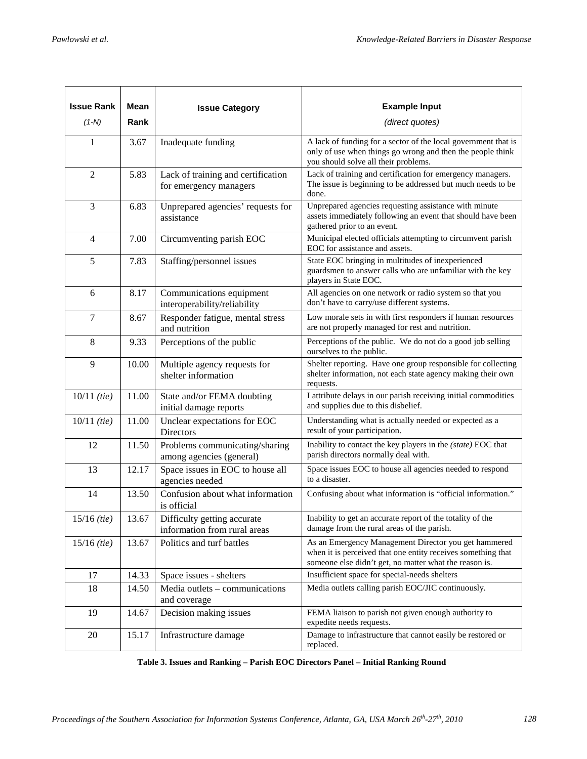| <b>Issue Rank</b>      | Mean  | <b>Issue Category</b>                                        | <b>Example Input</b>                                                                                                                                                           |
|------------------------|-------|--------------------------------------------------------------|--------------------------------------------------------------------------------------------------------------------------------------------------------------------------------|
| $(1-N)$                | Rank  |                                                              | (direct quotes)                                                                                                                                                                |
| 1                      | 3.67  | Inadequate funding                                           | A lack of funding for a sector of the local government that is<br>only of use when things go wrong and then the people think<br>you should solve all their problems.           |
| $\overline{2}$         | 5.83  | Lack of training and certification<br>for emergency managers | Lack of training and certification for emergency managers.<br>The issue is beginning to be addressed but much needs to be<br>done.                                             |
| 3                      | 6.83  | Unprepared agencies' requests for<br>assistance              | Unprepared agencies requesting assistance with minute<br>assets immediately following an event that should have been<br>gathered prior to an event.                            |
| $\overline{4}$         | 7.00  | Circumventing parish EOC                                     | Municipal elected officials attempting to circumvent parish<br>EOC for assistance and assets.                                                                                  |
| 5                      | 7.83  | Staffing/personnel issues                                    | State EOC bringing in multitudes of inexperienced<br>guardsmen to answer calls who are unfamiliar with the key<br>players in State EOC.                                        |
| 6                      | 8.17  | Communications equipment<br>interoperability/reliability     | All agencies on one network or radio system so that you<br>don't have to carry/use different systems.                                                                          |
| 7                      | 8.67  | Responder fatigue, mental stress<br>and nutrition            | Low morale sets in with first responders if human resources<br>are not properly managed for rest and nutrition.                                                                |
| 8                      | 9.33  | Perceptions of the public                                    | Perceptions of the public. We do not do a good job selling<br>ourselves to the public.                                                                                         |
| 9                      | 10.00 | Multiple agency requests for<br>shelter information          | Shelter reporting. Have one group responsible for collecting<br>shelter information, not each state agency making their own<br>requests.                                       |
| $10/11$ (tie)          | 11.00 | State and/or FEMA doubting<br>initial damage reports         | I attribute delays in our parish receiving initial commodities<br>and supplies due to this disbelief.                                                                          |
| $10/11$ ( <i>tie</i> ) | 11.00 | Unclear expectations for EOC<br>Directors                    | Understanding what is actually needed or expected as a<br>result of your participation.                                                                                        |
| 12                     | 11.50 | Problems communicating/sharing<br>among agencies (general)   | Inability to contact the key players in the (state) EOC that<br>parish directors normally deal with.                                                                           |
| 13                     | 12.17 | Space issues in EOC to house all<br>agencies needed          | Space issues EOC to house all agencies needed to respond<br>to a disaster.                                                                                                     |
| 14                     | 13.50 | Confusion about what information<br>is official              | Confusing about what information is "official information."                                                                                                                    |
| $15/16$ (tie)          | 13.67 | Difficulty getting accurate<br>information from rural areas  | Inability to get an accurate report of the totality of the<br>damage from the rural areas of the parish.                                                                       |
| $15/16$ ( <i>tie</i> ) | 13.67 | Politics and turf battles                                    | As an Emergency Management Director you get hammered<br>when it is perceived that one entity receives something that<br>someone else didn't get, no matter what the reason is. |
| 17                     | 14.33 | Space issues - shelters                                      | Insufficient space for special-needs shelters                                                                                                                                  |
| 18                     | 14.50 | Media outlets – communications<br>and coverage               | Media outlets calling parish EOC/JIC continuously.                                                                                                                             |
| 19                     | 14.67 | Decision making issues                                       | FEMA liaison to parish not given enough authority to<br>expedite needs requests.                                                                                               |
| 20                     | 15.17 | Infrastructure damage                                        | Damage to infrastructure that cannot easily be restored or<br>replaced.                                                                                                        |